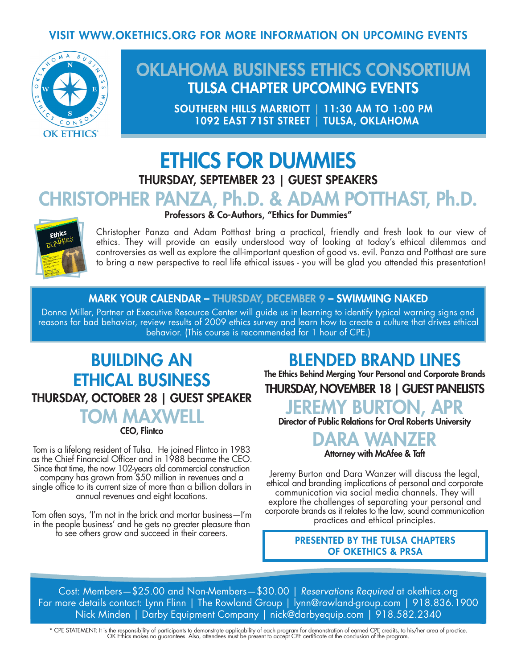## VISIT WWW.OKETHICS.ORG FOR MORE INFORMATION ON UPCOMING EVENTS



# OKLAHOMA BUSINESS ETHICS CONSORTIUM TULSA CHAPTER UPCOMING EVENTS

SOUTHERN HILLS MARRIOTT | 11:30 AM TO 1:00 PM 1092 EAST 71ST STREET | TULSA, OKLAHOMA

# ETHICS FOR DUMMIES THURSDAY, SEPTEMBER 23 | GUEST SPEAKERS CHRISTOPHER PANZA, Ph.D. & ADAM POTTHAST, Ph.D.

### Professors & Co-Authors, "Ethics for Dummies"



Christopher Panza and Adam Potthast bring a practical, friendly and fresh look to our view of ethics. They will provide an easily understood way of looking at today's ethical dilemmas and controversies as well as explore the all-important question of good vs. evil. Panza and Potthast are sure to bring a new perspective to real life ethical issues - you will be glad you attended this presentation!

### MARK YOUR CALENDAR – THURSDAY, DECEMBER 9 – SWIMMING NAKED

Donna Miller, Partner at Executive Resource Center will guide us in learning to identify typical warning signs and reasons for bad behavior, review results of 2009 ethics survey and learn how to create a culture that drives ethical behavior. (This course is recommended for 1 hour of CPE.)

## BUILDING AN ETHICAL BUSINESS THURSDAY, OCTOBER 28 | GUEST SPEAKER TOM MAXV CEO, Flintco

Tom is a lifelong resident of Tulsa. He joined Flintco in 1983 as the Chief Financial Officer and in 1988 became the CEO. Since that time, the now 102-years old commercial construction company has grown from \$50 million in revenues and a single office to its current size of more than a billion dollars in annual revenues and eight locations.

Tom often says, 'I'm not in the brick and mortar business—I'm in the people business' and he gets no greater pleasure than to see others grow and succeed in their careers.

## BLENDED BRAND LINES

The Ethics Behind Merging Your Personal and Corporate Brands

## THURSDAY, NOVEMBER 18 | GUEST PANELISTS

JEREMY BURTON, APR

Director of Public Relations for Oral Roberts University



Jeremy Burton and Dara Wanzer will discuss the legal, ethical and branding implications of personal and corporate communication via social media channels. They will explore the challenges of separating your personal and corporate brands as it relates to the law, sound communication practices and ethical principles.

#### PRESENTED BY THE TULSA CHAPTERS OF OKETHICS & PRSA

Cost: Members—\$25.00 and Non-Members—\$30.00 | *Reservations Required* at okethics.org For more details contact: Lynn Flinn | The Rowland Group | lynn@rowland-group.com | 918.836.1900 Nick Minden | Darby Equipment Company | nick@darbyequip.com | 918.582.2340

\* CPE STATEMENT: It is the responsibility of participants to demonstrate applicability of each program for demonstration of earned CPE credits, to his/her area of practice.<br>OK Ethics makes no guarantees. Also, attendees mu